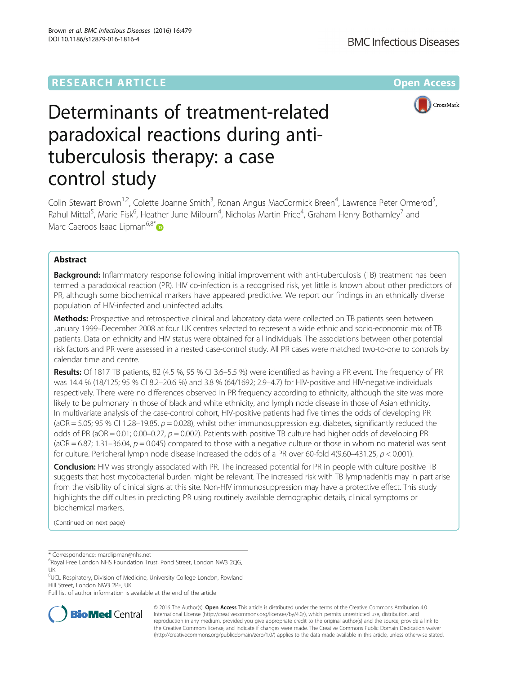## **RESEARCH ARTICLE Example 2014 12:30 The Community Community Community Community Community Community Community**



# Determinants of treatment-related paradoxical reactions during antituberculosis therapy: a case control study

Colin Stewart Brown<sup>1,2</sup>, Colette Joanne Smith<sup>3</sup>, Ronan Angus MacCormick Breen<sup>4</sup>, Lawrence Peter Ormerod<sup>5</sup> , Rahul Mittal<sup>5</sup>, Marie Fisk<sup>6</sup>, Heather June Milburn<sup>4</sup>, Nicholas Martin Price<sup>4</sup>, Graham Henry Bothamley<sup>7</sup> and Marc Caeroos Isaac Lipman<sup>6,8\*</sup>

## Abstract

**Background:** Inflammatory response following initial improvement with anti-tuberculosis (TB) treatment has been termed a paradoxical reaction (PR). HIV co-infection is a recognised risk, yet little is known about other predictors of PR, although some biochemical markers have appeared predictive. We report our findings in an ethnically diverse population of HIV-infected and uninfected adults.

Methods: Prospective and retrospective clinical and laboratory data were collected on TB patients seen between January 1999–December 2008 at four UK centres selected to represent a wide ethnic and socio-economic mix of TB patients. Data on ethnicity and HIV status were obtained for all individuals. The associations between other potential risk factors and PR were assessed in a nested case-control study. All PR cases were matched two-to-one to controls by calendar time and centre.

Results: Of 1817 TB patients, 82 (4.5 %, 95 % CI 3.6–5.5 %) were identified as having a PR event. The frequency of PR was 14.4 % (18/125; 95 % CI 8.2–20.6 %) and 3.8 % (64/1692; 2.9–4.7) for HIV-positive and HIV-negative individuals respectively. There were no differences observed in PR frequency according to ethnicity, although the site was more likely to be pulmonary in those of black and white ethnicity, and lymph node disease in those of Asian ethnicity. In multivariate analysis of the case-control cohort, HIV-positive patients had five times the odds of developing PR (aOR = 5.05; 95 % CI 1.28–19.85,  $p = 0.028$ ), whilst other immunosuppression e.g. diabetes, significantly reduced the odds of PR (aOR = 0.01; 0.00–0.27,  $p = 0.002$ ). Patients with positive TB culture had higher odds of developing PR  $(aOR = 6.87; 1.31-36.04, p = 0.045)$  compared to those with a negative culture or those in whom no material was sent for culture. Peripheral lymph node disease increased the odds of a PR over 60-fold 4(9.60–431.25,  $p < 0.001$ ).

**Conclusion:** HIV was strongly associated with PR. The increased potential for PR in people with culture positive TB suggests that host mycobacterial burden might be relevant. The increased risk with TB lymphadenitis may in part arise from the visibility of clinical signs at this site. Non-HIV immunosuppression may have a protective effect. This study highlights the difficulties in predicting PR using routinely available demographic details, clinical symptoms or biochemical markers.

(Continued on next page)

\* Correspondence: [marclipman@nhs.net](mailto:marclipman@nhs.net) <sup>6</sup>

<sup>8</sup>UCL Respiratory, Division of Medicine, University College London, Rowland Hill Street, London NW3 2PF, UK

Full list of author information is available at the end of the article



© 2016 The Author(s). Open Access This article is distributed under the terms of the Creative Commons Attribution 4.0 International License [\(http://creativecommons.org/licenses/by/4.0/](http://creativecommons.org/licenses/by/4.0/)), which permits unrestricted use, distribution, and reproduction in any medium, provided you give appropriate credit to the original author(s) and the source, provide a link to the Creative Commons license, and indicate if changes were made. The Creative Commons Public Domain Dedication waiver [\(http://creativecommons.org/publicdomain/zero/1.0/](http://creativecommons.org/publicdomain/zero/1.0/)) applies to the data made available in this article, unless otherwise stated.

 $6$ Royal Free London NHS Foundation Trust, Pond Street, London NW3 2QG, UK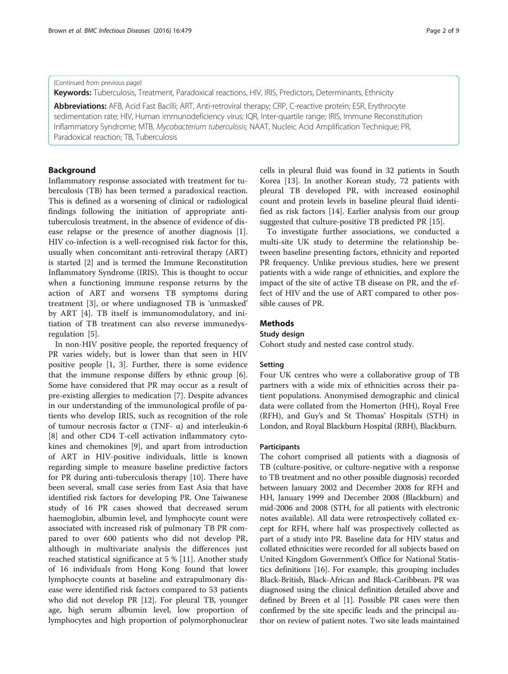#### (Continued from previous page)

Keywords: Tuberculosis, Treatment, Paradoxical reactions, HIV, IRIS, Predictors, Determinants, Ethnicity

Abbreviations: AFB, Acid Fast Bacilli; ART, Anti-retroviral therapy; CRP, C-reactive protein; ESR, Erythrocyte sedimentation rate; HIV, Human immunodeficiency virus; IQR, Inter-quartile range; IRIS, Immune Reconstitution Inflammatory Syndrome; MTB, Mycobacterium tuberculosis; NAAT, Nucleic Acid Amplification Technique; PR, Paradoxical reaction; TB, Tuberculosis

## Background

Inflammatory response associated with treatment for tuberculosis (TB) has been termed a paradoxical reaction. This is defined as a worsening of clinical or radiological findings following the initiation of appropriate antituberculosis treatment, in the absence of evidence of disease relapse or the presence of another diagnosis [\[1](#page-7-0)]. HIV co-infection is a well-recognised risk factor for this, usually when concomitant anti-retroviral therapy (ART) is started [[2\]](#page-7-0) and is termed the Immune Reconstitution Inflammatory Syndrome (IRIS). This is thought to occur when a functioning immune response returns by the action of ART and worsens TB symptoms during treatment [[3\]](#page-7-0), or where undiagnosed TB is 'unmasked' by ART [\[4](#page-7-0)]. TB itself is immunomodulatory, and initiation of TB treatment can also reverse immunedysregulation [[5](#page-7-0)].

In non-HIV positive people, the reported frequency of PR varies widely, but is lower than that seen in HIV positive people [[1, 3\]](#page-7-0). Further, there is some evidence that the immune response differs by ethnic group [\[6](#page-7-0)]. Some have considered that PR may occur as a result of pre-existing allergies to medication [\[7\]](#page-7-0). Despite advances in our understanding of the immunological profile of patients who develop IRIS, such as recognition of the role of tumour necrosis factor α (TNF- α) and interleukin-6 [[8\]](#page-7-0) and other CD4 T-cell activation inflammatory cytokines and chemokines [[9\]](#page-8-0), and apart from introduction of ART in HIV-positive individuals, little is known regarding simple to measure baseline predictive factors for PR during anti-tuberculosis therapy [[10\]](#page-8-0). There have been several, small case series from East Asia that have identified risk factors for developing PR. One Taiwanese study of 16 PR cases showed that decreased serum haemoglobin, albumin level, and lymphocyte count were associated with increased risk of pulmonary TB PR compared to over 600 patients who did not develop PR, although in multivariate analysis the differences just reached statistical significance at 5 % [[11\]](#page-8-0). Another study of 16 individuals from Hong Kong found that lower lymphocyte counts at baseline and extrapulmonary disease were identified risk factors compared to 53 patients who did not develop PR [[12](#page-8-0)]. For pleural TB, younger age, high serum albumin level, low proportion of lymphocytes and high proportion of polymorphonuclear cells in pleural fluid was found in 32 patients in South Korea [[13\]](#page-8-0). In another Korean study, 72 patients with pleural TB developed PR, with increased eosinophil count and protein levels in baseline pleural fluid identified as risk factors [[14](#page-8-0)]. Earlier analysis from our group suggested that culture-positive TB predicted PR [\[15](#page-8-0)].

To investigate further associations, we conducted a multi-site UK study to determine the relationship between baseline presenting factors, ethnicity and reported PR frequency. Unlike previous studies, here we present patients with a wide range of ethnicities, and explore the impact of the site of active TB disease on PR, and the effect of HIV and the use of ART compared to other possible causes of PR.

## **Methods**

#### Study design

Cohort study and nested case control study.

#### Setting

Four UK centres who were a collaborative group of TB partners with a wide mix of ethnicities across their patient populations. Anonymised demographic and clinical data were collated from the Homerton (HH), Royal Free (RFH), and Guy's and St Thomas' Hospitals (STH) in London, and Royal Blackburn Hospital (RBH), Blackburn.

#### **Participants**

The cohort comprised all patients with a diagnosis of TB (culture-positive, or culture-negative with a response to TB treatment and no other possible diagnosis) recorded between January 2002 and December 2008 for RFH and HH, January 1999 and December 2008 (Blackburn) and mid-2006 and 2008 (STH, for all patients with electronic notes available). All data were retrospectively collated except for RFH, where half was prospectively collected as part of a study into PR. Baseline data for HIV status and collated ethnicities were recorded for all subjects based on United Kingdom Government's Office for National Statistics definitions [\[16](#page-8-0)]. For example, this grouping includes Black-British, Black-African and Black-Caribbean. PR was diagnosed using the clinical definition detailed above and defined by Breen et al [[1\]](#page-7-0). Possible PR cases were then confirmed by the site specific leads and the principal author on review of patient notes. Two site leads maintained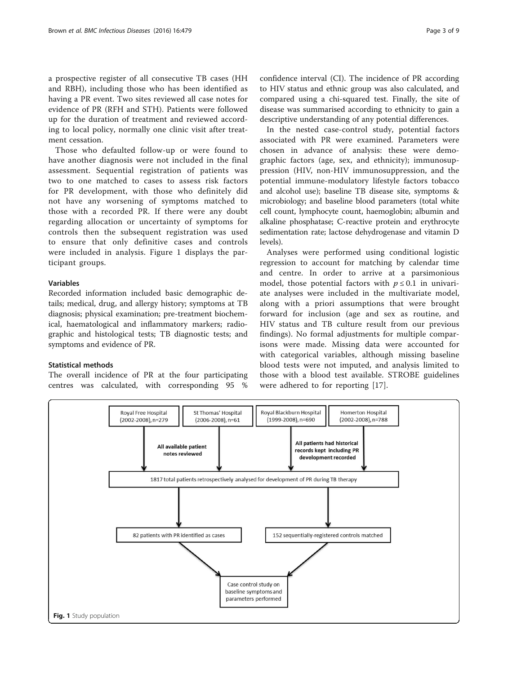a prospective register of all consecutive TB cases (HH and RBH), including those who has been identified as having a PR event. Two sites reviewed all case notes for evidence of PR (RFH and STH). Patients were followed up for the duration of treatment and reviewed according to local policy, normally one clinic visit after treatment cessation.

Those who defaulted follow-up or were found to have another diagnosis were not included in the final assessment. Sequential registration of patients was two to one matched to cases to assess risk factors for PR development, with those who definitely did not have any worsening of symptoms matched to those with a recorded PR. If there were any doubt regarding allocation or uncertainty of symptoms for controls then the subsequent registration was used to ensure that only definitive cases and controls were included in analysis. Figure 1 displays the participant groups.

## Variables

Recorded information included basic demographic details; medical, drug, and allergy history; symptoms at TB diagnosis; physical examination; pre-treatment biochemical, haematological and inflammatory markers; radiographic and histological tests; TB diagnostic tests; and symptoms and evidence of PR.

#### Statistical methods

The overall incidence of PR at the four participating centres was calculated, with corresponding 95 %

confidence interval (CI). The incidence of PR according to HIV status and ethnic group was also calculated, and compared using a chi-squared test. Finally, the site of disease was summarised according to ethnicity to gain a descriptive understanding of any potential differences.

In the nested case-control study, potential factors associated with PR were examined. Parameters were chosen in advance of analysis: these were demographic factors (age, sex, and ethnicity); immunosuppression (HIV, non-HIV immunosuppression, and the potential immune-modulatory lifestyle factors tobacco and alcohol use); baseline TB disease site, symptoms & microbiology; and baseline blood parameters (total white cell count, lymphocyte count, haemoglobin; albumin and alkaline phosphatase; C-reactive protein and erythrocyte sedimentation rate; lactose dehydrogenase and vitamin D levels).

Analyses were performed using conditional logistic regression to account for matching by calendar time and centre. In order to arrive at a parsimonious model, those potential factors with  $p \le 0.1$  in univariate analyses were included in the multivariate model, along with a priori assumptions that were brought forward for inclusion (age and sex as routine, and HIV status and TB culture result from our previous findings). No formal adjustments for multiple comparisons were made. Missing data were accounted for with categorical variables, although missing baseline blood tests were not imputed, and analysis limited to those with a blood test available. STROBE guidelines were adhered to for reporting [[17\]](#page-8-0).

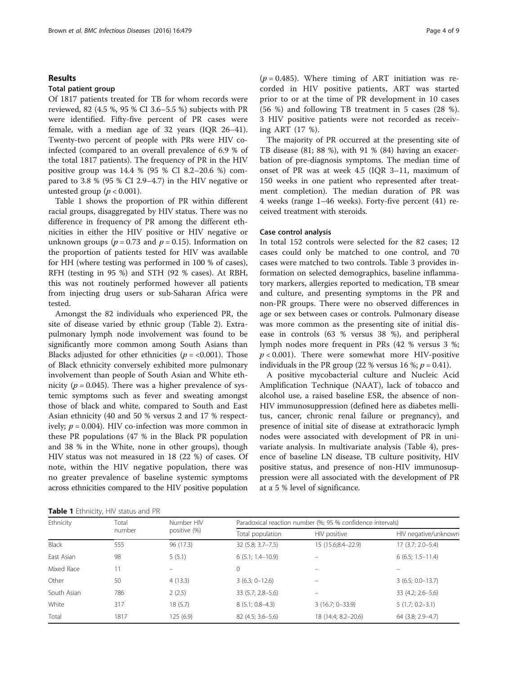#### Results

#### Total patient group

Of 1817 patients treated for TB for whom records were reviewed, 82 (4.5 %, 95 % CI 3.6–5.5 %) subjects with PR were identified. Fifty-five percent of PR cases were female, with a median age of 32 years (IQR 26–41). Twenty-two percent of people with PRs were HIV coinfected (compared to an overall prevalence of 6.9 % of the total 1817 patients). The frequency of PR in the HIV positive group was 14.4 % (95 % CI 8.2–20.6 %) compared to 3.8 % (95 % CI 2.9–4.7) in the HIV negative or untested group ( $p < 0.001$ ).

Table 1 shows the proportion of PR within different racial groups, disaggregated by HIV status. There was no difference in frequency of PR among the different ethnicities in either the HIV positive or HIV negative or unknown groups ( $p = 0.73$  and  $p = 0.15$ ). Information on the proportion of patients tested for HIV was available for HH (where testing was performed in 100 % of cases), RFH (testing in 95 %) and STH (92 % cases). At RBH, this was not routinely performed however all patients from injecting drug users or sub-Saharan Africa were tested.

Amongst the 82 individuals who experienced PR, the site of disease varied by ethnic group (Table [2\)](#page-4-0). Extrapulmonary lymph node involvement was found to be significantly more common among South Asians than Blacks adjusted for other ethnicities ( $p = < 0.001$ ). Those of Black ethnicity conversely exhibited more pulmonary involvement than people of South Asian and White ethnicity ( $p = 0.045$ ). There was a higher prevalence of systemic symptoms such as fever and sweating amongst those of black and white, compared to South and East Asian ethnicity (40 and 50 % versus 2 and 17 % respectively;  $p = 0.004$ ). HIV co-infection was more common in these PR populations (47 % in the Black PR population and 38 % in the White, none in other groups), though HIV status was not measured in 18 (22 %) of cases. Of note, within the HIV negative population, there was no greater prevalence of baseline systemic symptoms across ethnicities compared to the HIV positive population

 $(p = 0.485)$ . Where timing of ART initiation was recorded in HIV positive patients, ART was started prior to or at the time of PR development in 10 cases (56 %) and following TB treatment in 5 cases (28 %). 3 HIV positive patients were not recorded as receiving ART (17 %).

The majority of PR occurred at the presenting site of TB disease (81; 88 %), with 91 % (84) having an exacerbation of pre-diagnosis symptoms. The median time of onset of PR was at week 4.5 (IQR 3–11, maximum of 150 weeks in one patient who represented after treatment completion). The median duration of PR was 4 weeks (range 1–46 weeks). Forty-five percent (41) received treatment with steroids.

## Case control analysis

In total 152 controls were selected for the 82 cases; 12 cases could only be matched to one control, and 70 cases were matched to two controls. Table [3](#page-5-0) provides information on selected demographics, baseline inflammatory markers, allergies reported to medication, TB smear and culture, and presenting symptoms in the PR and non-PR groups. There were no observed differences in age or sex between cases or controls. Pulmonary disease was more common as the presenting site of initial disease in controls (63 % versus 38 %), and peripheral lymph nodes more frequent in PRs (42 % versus 3 %;  $p < 0.001$ ). There were somewhat more HIV-positive individuals in the PR group (22 % versus 16 %;  $p = 0.41$ ).

A positive mycobacterial culture and Nucleic Acid Amplification Technique (NAAT), lack of tobacco and alcohol use, a raised baseline ESR, the absence of non-HIV immunosuppression (defined here as diabetes mellitus, cancer, chronic renal failure or pregnancy), and presence of initial site of disease at extrathoracic lymph nodes were associated with development of PR in univariate analysis. In multivariate analysis (Table [4](#page-7-0)), presence of baseline LN disease, TB culture positivity, HIV positive status, and presence of non-HIV immunosuppression were all associated with the development of PR at a 5 % level of significance.

Table 1 Ethnicity, HIV status and PR

| Ethnicity    | Total<br>number | Number HIV   |                      | Paradoxical reaction number (%; 95 % confidence intervals) |                      |  |  |
|--------------|-----------------|--------------|----------------------|------------------------------------------------------------|----------------------|--|--|
|              |                 | positive (%) | Total population     | HIV positive                                               | HIV negative/unknown |  |  |
| <b>Black</b> | 555             | 96 (17.3)    | $32(5.8; 3.7 - 7.5)$ | 15 (15.6;8.4-22.9)                                         | $17(3.7; 2.0 - 5.4)$ |  |  |
| East Asian   | 98              | 5(5.1)       | $6(5.1; 1.4-10.9)$   |                                                            | $6(6.5; 1.5-11.4)$   |  |  |
| Mixed Race   | 11              |              | 0                    |                                                            |                      |  |  |
| Other        | 50              | 4(13.3)      | $3(6.3; 0-12.6)$     |                                                            | $3(6.5; 0.0-13.7)$   |  |  |
| South Asian  | 786             | 2(2.5)       | $33(5.7; 2.8 - 5.6)$ |                                                            | $33(4.2; 2.6 - 5.6)$ |  |  |
| White        | 317             | 18(5.7)      | $8(5.1; 0.8-4.3)$    | $3(16.7; 0-33.9)$                                          | $5(1.7; 0.2 - 3.1)$  |  |  |
| Total        | 1817            | 125(6.9)     | $82(4.5; 3.6 - 5.6)$ | 18 (14.4; 8.2-20.6)                                        | 64 (3.8; 2.9–4.7)    |  |  |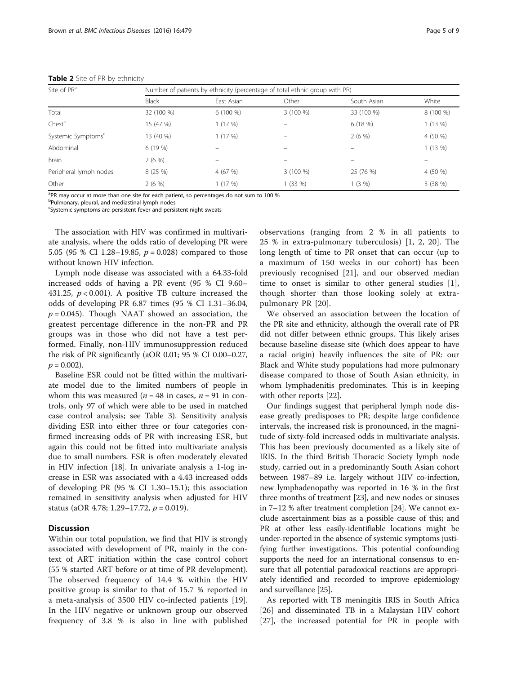| Site of PR <sup>a</sup>        | Number of patients by ethnicity (percentage of total ethnic group with PR) |            |            |             |           |  |
|--------------------------------|----------------------------------------------------------------------------|------------|------------|-------------|-----------|--|
|                                | <b>Black</b>                                                               | East Asian | Other      | South Asian | White     |  |
| Total                          | 32 (100 %)                                                                 | 6 (100 %)  | $3(100\%)$ | 33 (100 %)  | 8 (100 %) |  |
| Chest <sup>b</sup>             | 15 (47 %)                                                                  | 1(17%)     |            | 6 (18 %)    | $(13\%)$  |  |
| Systemic Symptoms <sup>c</sup> | 13 (40 %)                                                                  | 1(17%)     |            | 2(6%)       | 4 (50 %)  |  |
| Abdominal                      | 6(19%)                                                                     |            |            |             | (13%)     |  |
| <b>Brain</b>                   | $2(6\%)$                                                                   |            | -          | -           |           |  |
| Peripheral lymph nodes         | 8(25%)                                                                     | 4 (67 %)   | $3(100\%)$ | 25 (76 %)   | 4 (50 %)  |  |
| Other                          | $2(6\%)$                                                                   | 1(17%)     | 1(33%)     | 1(3%)       | 3(38%)    |  |

#### <span id="page-4-0"></span>Table 2 Site of PR by ethnicity

<sup>a</sup>PR may occur at more than one site for each patient, so percentages do not sum to 100 %

<sup>b</sup>Pulmonary, pleural, and mediastinal lymph nodes

<sup>c</sup>Systemic symptoms are persistent fever and persistent night sweats

The association with HIV was confirmed in multivariate analysis, where the odds ratio of developing PR were 5.05 (95 % CI 1.28–19.85,  $p = 0.028$ ) compared to those without known HIV infection.

Lymph node disease was associated with a 64.33-fold increased odds of having a PR event (95 % CI 9.60– 431.25,  $p < 0.001$ ). A positive TB culture increased the odds of developing PR 6.87 times (95 % CI 1.31–36.04,  $p = 0.045$ ). Though NAAT showed an association, the greatest percentage difference in the non-PR and PR groups was in those who did not have a test performed. Finally, non-HIV immunosuppression reduced the risk of PR significantly (aOR 0.01; 95 % CI 0.00–0.27,  $p = 0.002$ ).

Baseline ESR could not be fitted within the multivariate model due to the limited numbers of people in whom this was measured ( $n = 48$  in cases,  $n = 91$  in controls, only 97 of which were able to be used in matched case control analysis; see Table [3\)](#page-5-0). Sensitivity analysis dividing ESR into either three or four categories confirmed increasing odds of PR with increasing ESR, but again this could not be fitted into multivariate analysis due to small numbers. ESR is often moderately elevated in HIV infection [[18](#page-8-0)]. In univariate analysis a 1-log increase in ESR was associated with a 4.43 increased odds of developing PR (95 % CI 1.30–15.1); this association remained in sensitivity analysis when adjusted for HIV status (aOR 4.78; 1.29–17.72,  $p = 0.019$ ).

## **Discussion**

Within our total population, we find that HIV is strongly associated with development of PR, mainly in the context of ART initiation within the case control cohort (55 % started ART before or at time of PR development). The observed frequency of 14.4 % within the HIV positive group is similar to that of 15.7 % reported in a meta-analysis of 3500 HIV co-infected patients [\[19](#page-8-0)]. In the HIV negative or unknown group our observed frequency of 3.8 % is also in line with published

observations (ranging from 2 % in all patients to 25 % in extra-pulmonary tuberculosis) [[1, 2](#page-7-0), [20](#page-8-0)]. The long length of time to PR onset that can occur (up to a maximum of 150 weeks in our cohort) has been previously recognised [\[21](#page-8-0)], and our observed median time to onset is similar to other general studies [\[1](#page-7-0)], though shorter than those looking solely at extrapulmonary PR [[20\]](#page-8-0).

We observed an association between the location of the PR site and ethnicity, although the overall rate of PR did not differ between ethnic groups. This likely arises because baseline disease site (which does appear to have a racial origin) heavily influences the site of PR: our Black and White study populations had more pulmonary disease compared to those of South Asian ethnicity, in whom lymphadenitis predominates. This is in keeping with other reports [\[22](#page-8-0)].

Our findings suggest that peripheral lymph node disease greatly predisposes to PR; despite large confidence intervals, the increased risk is pronounced, in the magnitude of sixty-fold increased odds in multivariate analysis. This has been previously documented as a likely site of IRIS. In the third British Thoracic Society lymph node study, carried out in a predominantly South Asian cohort between 1987–89 i.e. largely without HIV co-infection, new lymphadenopathy was reported in 16 % in the first three months of treatment [\[23](#page-8-0)], and new nodes or sinuses in 7–12 % after treatment completion [\[24](#page-8-0)]. We cannot exclude ascertainment bias as a possible cause of this; and PR at other less easily-identifiable locations might be under-reported in the absence of systemic symptoms justifying further investigations. This potential confounding supports the need for an international consensus to ensure that all potential paradoxical reactions are appropriately identified and recorded to improve epidemiology and surveillance [\[25\]](#page-8-0).

As reported with TB meningitis IRIS in South Africa [[26\]](#page-8-0) and disseminated TB in a Malaysian HIV cohort [[27\]](#page-8-0), the increased potential for PR in people with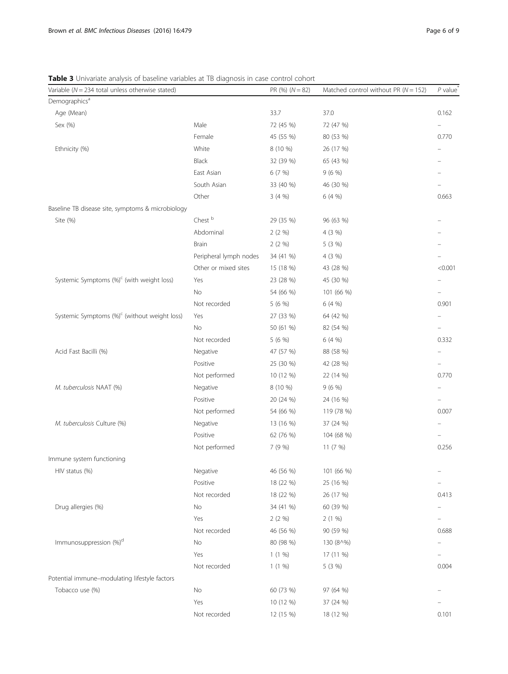## <span id="page-5-0"></span>Table 3 Univariate analysis of baseline variables at TB diagnosis in case control cohort

| Variable ( $N = 234$ total unless otherwise stated)      |                        | $PR$ (%) ( $N = 82$ ) | Matched control without PR ( $N = 152$ ) | $P$ value                |
|----------------------------------------------------------|------------------------|-----------------------|------------------------------------------|--------------------------|
| Demographics <sup>a</sup>                                |                        |                       |                                          |                          |
| Age (Mean)                                               |                        | 33.7                  | 37.0                                     | 0.162                    |
| Sex (%)                                                  | Male                   | 72 (45 %)             | 72 (47 %)                                |                          |
|                                                          | Female                 | 45 (55 %)             | 80 (53 %)                                | 0.770                    |
| Ethnicity (%)                                            | White                  | 8 (10 %)              | 26 (17 %)                                |                          |
|                                                          | Black                  | 32 (39 %)             | 65 (43 %)                                |                          |
|                                                          | East Asian             | 6 (7 %)               | 9(6%)                                    |                          |
|                                                          | South Asian            | 33 (40 %)             | 46 (30 %)                                |                          |
|                                                          | Other                  | 3(4%)                 | 6 (4 %)                                  | 0.663                    |
| Baseline TB disease site, symptoms & microbiology        |                        |                       |                                          |                          |
| Site (%)                                                 | Chest <sup>b</sup>     | 29 (35 %)             | 96 (63 %)                                |                          |
|                                                          | Abdominal              | $2(2\%)$              | 4 (3 %)                                  |                          |
|                                                          | Brain                  | 2(2%)                 | 5 (3 %)                                  |                          |
|                                                          | Peripheral lymph nodes | 34 (41 %)             | 4 (3 %)                                  |                          |
|                                                          | Other or mixed sites   | 15 (18 %)             | 43 (28 %)                                | < 0.001                  |
| Systemic Symptoms (%) <sup>c</sup> (with weight loss)    | Yes                    | 23 (28 %)             | 45 (30 %)                                |                          |
|                                                          | No                     | 54 (66 %)             | 101 (66 %)                               | $\overline{\phantom{0}}$ |
|                                                          | Not recorded           | 5(6%)                 | 6 (4 %)                                  | 0.901                    |
| Systemic Symptoms (%) <sup>c</sup> (without weight loss) | Yes                    | 27 (33 %)             | 64 (42 %)                                |                          |
|                                                          | No                     | 50 (61 %)             | 82 (54 %)                                | -                        |
|                                                          | Not recorded           | 5(6%)                 | 6 (4 %)                                  | 0.332                    |
| Acid Fast Bacilli (%)                                    | Negative               | 47 (57 %)             | 88 (58 %)                                |                          |
|                                                          | Positive               | 25 (30 %)             | 42 (28 %)                                |                          |
|                                                          | Not performed          | 10 (12 %)             | 22 (14 %)                                | 0.770                    |
| M. tuberculosis NAAT (%)                                 | Negative               | 8 (10 %)              | 9(6%)                                    |                          |
|                                                          | Positive               | 20 (24 %)             | 24 (16 %)                                |                          |
|                                                          | Not performed          | 54 (66 %)             | 119 (78 %)                               | 0.007                    |
| M. tuberculosis Culture (%)                              | Negative               | 13 (16 %)             | 37 (24 %)                                |                          |
|                                                          | Positive               | 62 (76 %)             | 104 (68 %)                               |                          |
|                                                          | Not performed          | 7 (9 %)               | 11 (7 %)                                 | 0.256                    |
| Immune system functioning                                |                        |                       |                                          |                          |
| HIV status (%)                                           | Negative               | 46 (56 %)             | 101 (66 %)                               |                          |
|                                                          | Positive               | 18 (22 %)             | 25 (16 %)                                |                          |
|                                                          | Not recorded           | 18 (22 %)             | 26 (17 %)                                | 0.413                    |
| Drug allergies (%)                                       | No.                    | 34 (41 %)             | 60 (39 %)                                |                          |
|                                                          | Yes                    | 2(2%)                 | 2(1%)                                    |                          |
|                                                          | Not recorded           | 46 (56 %)             | 90 (59 %)                                | 0.688                    |
| Immunosuppression (%) <sup>d</sup>                       | No                     | 80 (98 %)             | 130 (8^%)                                |                          |
|                                                          | Yes                    | 1(1%)                 | 17 (11 %)                                |                          |
|                                                          | Not recorded           | 1(1%)                 | 5(3%)                                    | 0.004                    |
| Potential immune-modulating lifestyle factors            |                        |                       |                                          |                          |
| Tobacco use (%)                                          | No                     | 60 (73 %)             | 97 (64 %)                                |                          |
|                                                          | Yes                    | 10 (12 %)             | 37 (24 %)                                |                          |
|                                                          | Not recorded           | 12 (15 %)             | 18 (12 %)                                | 0.101                    |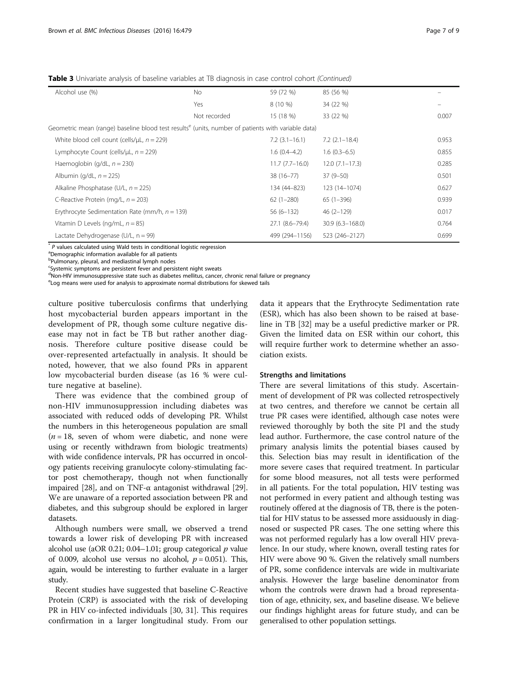| Alcohol use (%)                                                                                                | No.          | 59 (72 %)          | 85 (56 %)           |       |
|----------------------------------------------------------------------------------------------------------------|--------------|--------------------|---------------------|-------|
|                                                                                                                | Yes          | $8(10\%)$          | 34 (22 %)           |       |
|                                                                                                                | Not recorded | 15 (18 %)          | 33 (22 %)           | 0.007 |
| Geometric mean (range) baseline blood test results <sup>e</sup> (units, number of patients with variable data) |              |                    |                     |       |
| White blood cell count (cells/ $\mu$ L, $n = 229$ )                                                            |              | $7.2$ $(3.1-16.1)$ | $7.2$ (2.1–18.4)    | 0.953 |
| Lymphocyte Count (cells/ $\mu$ L, $n = 229$ )                                                                  |              | $1.6(0.4-4.2)$     | $1.6(0.3-6.5)$      | 0.855 |
| Haemoglobin (g/dL, $n = 230$ )                                                                                 |              | $11.7(7.7-16.0)$   | $12.0(7.1-17.3)$    | 0.285 |
| Albumin (g/dL, $n = 225$ )                                                                                     |              | $38(16 - 77)$      | $37(9 - 50)$        | 0.501 |
| Alkaline Phosphatase (U/L, $n = 225$ )                                                                         |              | 134 (44-823)       | 123 (14-1074)       | 0.627 |
| C-Reactive Protein (mg/L, $n = 203$ )                                                                          |              | $62(1-280)$        | $65(1-396)$         | 0.939 |
| Erythrocyte Sedimentation Rate (mm/h, $n = 139$ )                                                              |              | $56(6-132)$        | $46(2 - 129)$       | 0.017 |
| Vitamin D Levels (ng/mL, $n = 85$ )                                                                            |              | 27.1 (8.6-79.4)    | $30.9(6.3 - 168.0)$ | 0.764 |
| Lactate Dehydrogenase (U/L, n = 99)                                                                            |              | 499 (294-1156)     | 523 (246-2127)      | 0.699 |
|                                                                                                                |              |                    |                     |       |

Table 3 Univariate analysis of baseline variables at TB diagnosis in case control cohort (Continued)

 $*$  P values calculated using Wald tests in conditional logistic regression

<sup>a</sup>Demographic information available for all patients

<sup>b</sup>Pulmonary, pleural, and mediastinal lymph nodes

<sup>c</sup>Systemic symptoms are persistent fever and persistent night sweats

<sup>d</sup>Non-HIV immunosuppressive state such as diabetes mellitus, cancer, chronic renal failure or pregnancy

e Log means were used for analysis to approximate normal distributions for skewed tails

culture positive tuberculosis confirms that underlying host mycobacterial burden appears important in the development of PR, though some culture negative disease may not in fact be TB but rather another diagnosis. Therefore culture positive disease could be over-represented artefactually in analysis. It should be noted, however, that we also found PRs in apparent low mycobacterial burden disease (as 16 % were culture negative at baseline).

There was evidence that the combined group of non-HIV immunosuppression including diabetes was associated with reduced odds of developing PR. Whilst the numbers in this heterogeneous population are small  $(n = 18,$  seven of whom were diabetic, and none were using or recently withdrawn from biologic treatments) with wide confidence intervals, PR has occurred in oncology patients receiving granulocyte colony-stimulating factor post chemotherapy, though not when functionally impaired [[28](#page-8-0)], and on TNF- $\alpha$  antagonist withdrawal [[29](#page-8-0)]. We are unaware of a reported association between PR and diabetes, and this subgroup should be explored in larger datasets.

Although numbers were small, we observed a trend towards a lower risk of developing PR with increased alcohol use (aOR 0.21; 0.04–1.01; group categorical  $p$  value of 0.009, alcohol use versus no alcohol,  $p = 0.051$ ). This, again, would be interesting to further evaluate in a larger study.

Recent studies have suggested that baseline C-Reactive Protein (CRP) is associated with the risk of developing PR in HIV co-infected individuals [\[30](#page-8-0), [31\]](#page-8-0). This requires confirmation in a larger longitudinal study. From our data it appears that the Erythrocyte Sedimentation rate (ESR), which has also been shown to be raised at baseline in TB [[32\]](#page-8-0) may be a useful predictive marker or PR. Given the limited data on ESR within our cohort, this will require further work to determine whether an association exists.

#### Strengths and limitations

There are several limitations of this study. Ascertainment of development of PR was collected retrospectively at two centres, and therefore we cannot be certain all true PR cases were identified, although case notes were reviewed thoroughly by both the site PI and the study lead author. Furthermore, the case control nature of the primary analysis limits the potential biases caused by this. Selection bias may result in identification of the more severe cases that required treatment. In particular for some blood measures, not all tests were performed in all patients. For the total population, HIV testing was not performed in every patient and although testing was routinely offered at the diagnosis of TB, there is the potential for HIV status to be assessed more assiduously in diagnosed or suspected PR cases. The one setting where this was not performed regularly has a low overall HIV prevalence. In our study, where known, overall testing rates for HIV were above 90 %. Given the relatively small numbers of PR, some confidence intervals are wide in multivariate analysis. However the large baseline denominator from whom the controls were drawn had a broad representation of age, ethnicity, sex, and baseline disease. We believe our findings highlight areas for future study, and can be generalised to other population settings.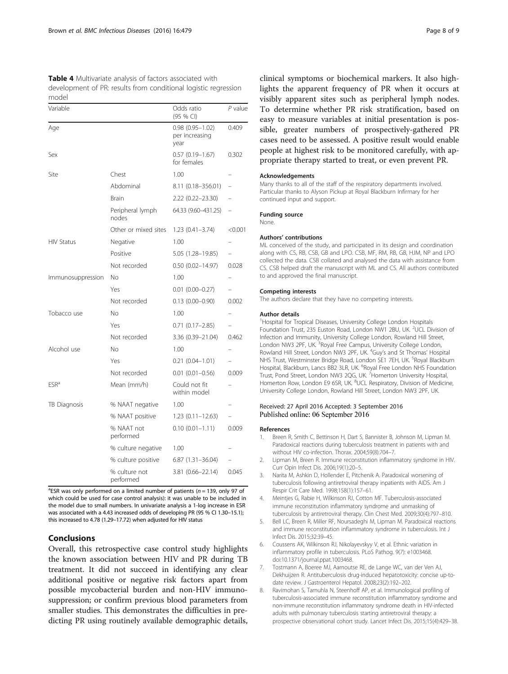<span id="page-7-0"></span>Table 4 Multivariate analysis of factors associated with development of PR: results from conditional logistic regression model

| Variable          |                            | Odds ratio<br>(95 % CI)                       | $P$ value                |
|-------------------|----------------------------|-----------------------------------------------|--------------------------|
| Age               |                            | $0.98(0.95 - 1.02)$<br>per increasing<br>year | 0.409                    |
| Sex               |                            | $0.57(0.19 - 1.67)$<br>for females            | 0.302                    |
| Site              | Chest                      | 1.00                                          |                          |
|                   | Abdominal                  | 8.11 (0.18-356.01)                            | $\overline{\phantom{0}}$ |
|                   | <b>Brain</b>               | $2.22(0.22 - 23.30)$                          |                          |
|                   | Peripheral lymph<br>nodes  | 64.33 (9.60-431.25)                           |                          |
|                   | Other or mixed sites       | $1.23(0.41 - 3.74)$                           | < 0.001                  |
| <b>HIV Status</b> | Negative                   | 1.00                                          |                          |
|                   | Positive                   | 5.05 (1.28–19.85)                             |                          |
|                   | Not recorded               | $0.50$ $(0.02 - 14.97)$                       | 0.028                    |
| Immunosuppression | No                         | 1.00                                          |                          |
|                   | Yes                        | $0.01$ $(0.00 - 0.27)$                        |                          |
|                   | Not recorded               | $0.13(0.00 - 0.90)$                           | 0.002                    |
| Tobacco use       | No                         | 1.00                                          |                          |
|                   | Yes                        | $0.71(0.17 - 2.85)$                           |                          |
|                   | Not recorded               | 3.36 (0.39-21.04)                             | 0.462                    |
| Alcohol use       | No                         | 1.00                                          |                          |
|                   | Yes                        | $0.21(0.04 - 1.01)$                           |                          |
|                   | Not recorded               | $0.01$ $(0.01 - 0.56)$                        | 0.009                    |
| ESR <sup>a</sup>  | Mean (mm/h)                | Could not fit<br>within model                 |                          |
| TB Diagnosis      | % NAAT negative            | 1.00                                          |                          |
|                   | % NAAT positive            | $1.23(0.11 - 12.63)$                          |                          |
|                   | % NAAT not<br>performed    | $0.10(0.01 - 1.11)$                           | 0.009                    |
|                   | % culture negative         | 1.00                                          |                          |
|                   | % culture positive         | $6.87(1.31 - 36.04)$                          |                          |
|                   | % culture not<br>performed | 3.81 (0.66-22.14)                             | 0.045                    |

 ${}^{a}$ ESR was only performed on a limited number of patients ( $n = 139$ , only 97 of which could be used for case control analysis): it was unable to be included in the model due to small numbers. In univariate analysis a 1-log increase in ESR was associated with a 4.43 increased odds of developing PR (95 % CI 1.30–15.1); this increased to 4.78 (1.29–17.72) when adjusted for HIV status

## Conclusions

Overall, this retrospective case control study highlights the known association between HIV and PR during TB treatment. It did not succeed in identifying any clear additional positive or negative risk factors apart from possible mycobacterial burden and non-HIV immunosuppression; or confirm previous blood parameters from smaller studies. This demonstrates the difficulties in predicting PR using routinely available demographic details,

clinical symptoms or biochemical markers. It also highlights the apparent frequency of PR when it occurs at visibly apparent sites such as peripheral lymph nodes. To determine whether PR risk stratification, based on easy to measure variables at initial presentation is possible, greater numbers of prospectively-gathered PR cases need to be assessed. A positive result would enable people at highest risk to be monitored carefully, with appropriate therapy started to treat, or even prevent PR.

#### Acknowledgements

Many thanks to all of the staff of the respiratory departments involved. Particular thanks to Alyson Pickup at Royal Blackburn Infirmary for her continued input and support.

#### Funding source

None.

#### Authors' contributions

ML conceived of the study, and participated in its design and coordination along with CS, RB, CSB, GB and LPO. CSB, MF, RM, RB, GB, HJM, NP and LPO collected the data. CSB collated and analysed the data with assistance from CS. CSB helped draft the manuscript with ML and CS. All authors contributed to and approved the final manuscript.

#### Competing interests

The authors declare that they have no competing interests.

#### Author details

<sup>1</sup> Hospital for Tropical Diseases, University College London Hospitals Foundation Trust, 235 Euston Road, London NW1 2BU, UK. <sup>2</sup>UCL Division of Infection and Immunity, University College London, Rowland Hill Street, London NW3 2PF, UK.<sup>3</sup>Royal Free Campus, University College London, Rowland Hill Street, London NW3 2PF, UK. <sup>4</sup>Guy's and St Thomas' Hospital NHS Trust, Westminster Bridge Road, London SE1 7EH, UK. <sup>5</sup>Royal Blackburn Hospital, Blackburn, Lancs BB2 3LR, UK. <sup>6</sup>Royal Free London NHS Foundation Trust, Pond Street, London NW3 2QG, UK. <sup>7</sup>Homerton University Hospital Homerton Row, London E9 6SR, UK. <sup>8</sup>UCL Respiratory, Division of Medicine, University College London, Rowland Hill Street, London NW3 2PF, UK.

#### Received: 27 April 2016 Accepted: 3 September 2016 Published online: 06 September 2016

#### References

- 1. Breen R, Smith C, Bettinson H, Dart S, Bannister B, Johnson M, Lipman M. Paradoxical reactions during tuberculosis treatment in patients with and without HIV co-infection. Thorax. 2004;59(8):704–7.
- 2. Lipman M, Breen R. Immune reconstitution inflammatory syndrome in HIV. Curr Opin Infect Dis. 2006;19(1):20–5.
- 3. Narita M, Ashkin D, Hollender E, Pitchenik A. Paradoxical worsening of tuberculosis following antiretroviral therapy inpatients with AIDS. Am J Respir Crit Care Med. 1998;158(1):157–61.
- 4. Meintjes G, Rabie H, Wilkinson RJ, Cotton MF. Tuberculosis-associated immune reconstitution inflammatory syndrome and unmasking of tuberculosis by antiretroviral therapy. Clin Chest Med. 2009;30(4):797–810.
- 5. Bell LC, Breen R, Miller RF, Noursadeghi M, Lipman M. Paradoxical reactions and immune reconstitution inflammatory syndrome in tuberculosis. Int J Infect Dis. 2015;32:39–45.
- 6. Coussens AK, Wilkinson RJ, Nikolayevskyy V, et al. Ethnic variation in inflammatory profile in tuberculosis. PLoS Pathog. 9(7): e1003468. doi[:10.1371/journal.ppat.1003468.](http://dx.doi.org/10.1371/journal.ppat.1003468)
- 7. Tostmann A, Boeree MJ, Aarnoutse RE, de Lange WC, van der Ven AJ, Dekhuijzen R. Antituberculosis drug-induced hepatotoxicity: concise up-todate review. J Gastroenterol Hepatol. 2008;23(2):192–202.
- 8. Ravimohan S, Tamuhla N, Steenhoff AP, et al. Immunological profiling of tuberculosis-associated immune reconstitution inflammatory syndrome and non-immune reconstitution inflammatory syndrome death in HIV-infected adults with pulmonary tuberculosis starting antiretroviral therapy: a prospective observational cohort study. Lancet Infect Dis. 2015;15(4):429–38.